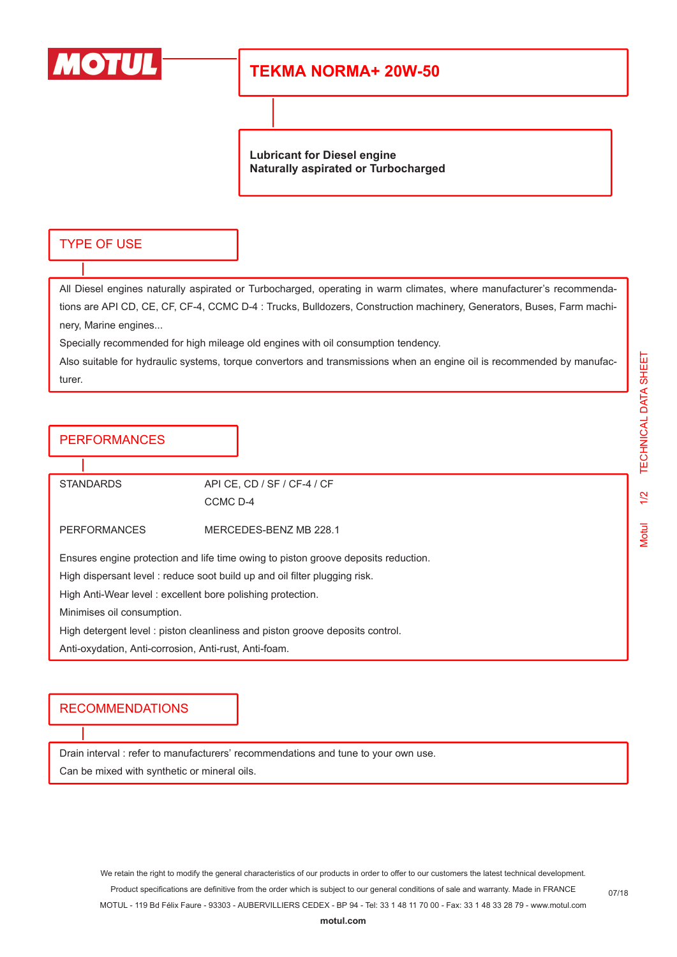

## **TEKMA NORMA+ 20W-50**

**Lubricant for Diesel engine Naturally aspirated or Turbocharged**

### TYPE OF USE

All Diesel engines naturally aspirated or Turbocharged, operating in warm climates, where manufacturer's recommendations are API CD, CE, CF, CF-4, CCMC D-4 : Trucks, Bulldozers, Construction machinery, Generators, Buses, Farm machinery, Marine engines...

Specially recommended for high mileage old engines with oil consumption tendency.

Also suitable for hydraulic systems, torque convertors and transmissions when an engine oil is recommended by manufacturer.

#### PERFORMANCES

STANDARDS API CE, CD / SF / CF-4 / CF CCMC D-4 PERFORMANCES MERCEDES-BENZ MB 228.1 Ensures engine protection and life time owing to piston groove deposits reduction. High dispersant level : reduce soot build up and oil filter plugging risk. High Anti-Wear level : excellent bore polishing protection. Minimises oil consumption. High detergent level : piston cleanliness and piston groove deposits control. Anti-oxydation, Anti-corrosion, Anti-rust, Anti-foam.

#### RECOMMENDATIONS

Drain interval : refer to manufacturers' recommendations and tune to your own use.

Can be mixed with synthetic or mineral oils.

We retain the right to modify the general characteristics of our products in order to offer to our customers the latest technical development. Product specifications are definitive from the order which is subject to our general conditions of sale and warranty. Made in FRANCE MOTUL - 119 Bd Félix Faure - 93303 - AUBERVILLIERS CEDEX - BP 94 - Tel: 33 1 48 11 70 00 - Fax: 33 1 48 33 28 79 - www.motul.com